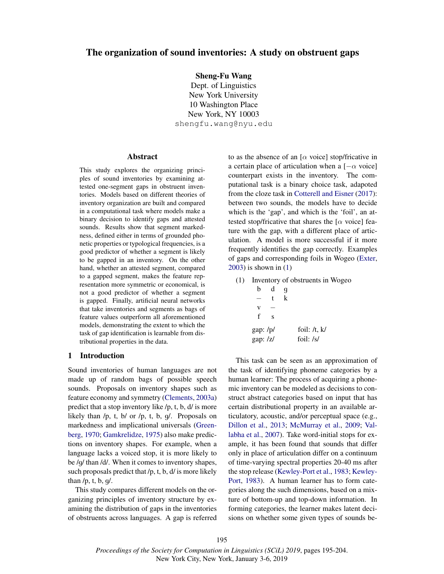# The organization of sound inventories: A study on obstruent gaps

Sheng-Fu Wang

Dept. of Linguistics New York University 10 Washington Place New York, NY 10003 shengfu.wang@nyu.edu

### Abstract

This study explores the organizing principles of sound inventories by examining attested one-segment gaps in obstruent inventories. Models based on different theories of inventory organization are built and compared in a computational task where models make a binary decision to identify gaps and attested sounds. Results show that segment markedness, defined either in terms of grounded phonetic properties or typological frequencies, is a good predictor of whether a segment is likely to be gapped in an inventory. On the other hand, whether an attested segment, compared to a gapped segment, makes the feature representation more symmetric or economical, is not a good predictor of whether a segment is gapped. Finally, artificial neural networks that take inventories and segments as bags of feature values outperform all aforementioned models, demonstrating the extent to which the task of gap identification is learnable from distributional properties in the data.

# 1 Introduction

Sound inventories of human languages are not made up of random bags of possible speech sounds. Proposals on inventory shapes such as feature economy and symmetry (Clements, 2003a) predict that a stop inventory like /p, t, b, d/ is more likely than /p, t, b/ or /p, t, b, g/. Proposals on markedness and implicational universals (Greenberg, 1970; Gamkrelidze, 1975) also make predictions on inventory shapes. For example, when a language lacks a voiced stop, it is more likely to be /g/ than /d/. When it comes to inventory shapes, such proposals predict that /p, t, b, d/ is more likely than  $/p$ , t, b, g $/$ .

This study compares different models on the organizing principles of inventory structure by examining the distribution of gaps in the inventories of obstruents across languages. A gap is referred to as the absence of an  $[\alpha \text{ voice}]$  stop/fricative in a certain place of articulation when a  $[-\alpha \text{ voice}]$ counterpart exists in the inventory. The computational task is a binary choice task, adapoted from the cloze task in Cotterell and Eisner (2017): between two sounds, the models have to decide which is the 'gap', and which is the 'foil', an attested stop/fricative that shares the [ $\alpha$  voice] feature with the gap, with a different place of articulation. A model is more successful if it more frequently identifies the gap correctly. Examples of gaps and corresponding foils in Wogeo (Exter, 2003) is shown in (1)

(1) Inventory of obstruents in Wogeo

| h                        | d | q |                                  |
|--------------------------|---|---|----------------------------------|
|                          | t | k |                                  |
| v                        |   |   |                                  |
| f                        | Ś |   |                                  |
| gap: $/p/$<br>gap: $ z $ |   |   | foil: $/t$ , $k/$<br>foil: $/s/$ |

This task can be seen as an approximation of the task of identifying phoneme categories by a human learner: The process of acquiring a phonemic inventory can be modeled as decisions to construct abstract categories based on input that has certain distributional property in an available articulatory, acoustic, and/or perceptual space (e.g., Dillon et al., 2013; McMurray et al., 2009; Vallabha et al., 2007). Take word-initial stops for example, it has been found that sounds that differ only in place of articulation differ on a continuum of time-varying spectral properties 20-40 ms after the stop release (Kewley-Port et al., 1983; Kewley-Port, 1983). A human learner has to form categories along the such dimensions, based on a mixture of bottom-up and top-down information. In forming categories, the learner makes latent decisions on whether some given types of sounds be-

*Proceedings of the Society for Computation in Linguistics (SCiL) 2019*, pages 195-204. New York City, New York, January 3-6, 2019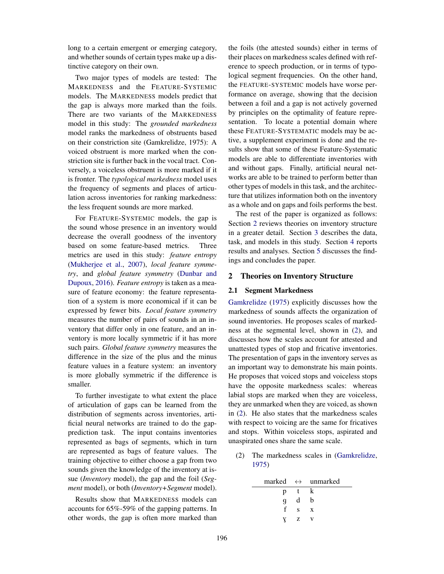long to a certain emergent or emerging category, and whether sounds of certain types make up a distinctive category on their own.

Two major types of models are tested: The MARKEDNESS and the FEATURE-SYSTEMIC models. The MARKEDNESS models predict that the gap is always more marked than the foils. There are two variants of the MARKEDNESS model in this study: The *grounded markedness* model ranks the markedness of obstruents based on their constriction site (Gamkrelidze, 1975): A voiced obstruent is more marked when the constriction site is further back in the vocal tract. Conversely, a voiceless obstruent is more marked if it is fronter. The *typological markedness* model uses the frequency of segments and places of articulation across inventories for ranking markedness: the less frequent sounds are more marked.

For FEATURE-SYSTEMIC models, the gap is the sound whose presence in an inventory would decrease the overall goodness of the inventory based on some feature-based metrics. Three metrics are used in this study: *feature entropy* (Mukherjee et al., 2007), *local feature symmetry*, and *global feature symmetry* (Dunbar and Dupoux, 2016). *Feature entropy* is taken as a measure of feature economy: the feature representation of a system is more economical if it can be expressed by fewer bits. *Local feature symmetry* measures the number of pairs of sounds in an inventory that differ only in one feature, and an inventory is more locally symmetric if it has more such pairs. *Global feature symmetry* measures the difference in the size of the plus and the minus feature values in a feature system: an inventory is more globally symmetric if the difference is smaller.

To further investigate to what extent the place of articulation of gaps can be learned from the distribution of segments across inventories, artificial neural networks are trained to do the gapprediction task. The input contains inventories represented as bags of segments, which in turn are represented as bags of feature values. The training objective to either choose a gap from two sounds given the knowledge of the inventory at issue (*Inventory* model), the gap and the foil (*Segment* model), or both (*Inventory+Segment* model).

Results show that MARKEDNESS models can accounts for 65%-59% of the gapping patterns. In other words, the gap is often more marked than the foils (the attested sounds) either in terms of their places on markedness scales defined with reference to speech production, or in terms of typological segment frequencies. On the other hand, the FEATURE-SYSTEMIC models have worse performance on average, showing that the decision between a foil and a gap is not actively governed by principles on the optimality of feature representation. To locate a potential domain where these FEATURE-SYSTEMATIC models may be active, a supplement experiment is done and the results show that some of these Feature-Systematic models are able to differentiate inventories with and without gaps. Finally, artificial neural networks are able to be trained to perform better than other types of models in this task, and the architecture that utilizes information both on the inventory as a whole and on gaps and foils performs the best.

The rest of the paper is organized as follows: Section 2 reviews theories on inventory structure in a greater detail. Section 3 describes the data, task, and models in this study. Section 4 reports results and analyses. Section 5 discusses the findings and concludes the paper.

# 2 Theories on Inventory Structure

#### 2.1 Segment Markedness

Gamkrelidze (1975) explicitly discusses how the markedness of sounds affects the organization of sound inventories. He proposes scales of markedness at the segmental level, shown in (2), and discusses how the scales account for attested and unattested types of stop and fricative inventories. The presentation of gaps in the inventory serves as an important way to demonstrate his main points. He proposes that voiced stops and voiceless stops have the opposite markedness scales: whereas labial stops are marked when they are voiceless, they are unmarked when they are voiced, as shown in (2). He also states that the markedness scales with respect to voicing are the same for fricatives and stops. Within voiceless stops, aspirated and unaspirated ones share the same scale.

(2) The markedness scales in (Gamkrelidze, 1975)

|   |    | marked $\leftrightarrow$ unmarked |
|---|----|-----------------------------------|
| p | Ť. | k                                 |
| q | d  | b                                 |
| f | S. | X                                 |
|   | z  |                                   |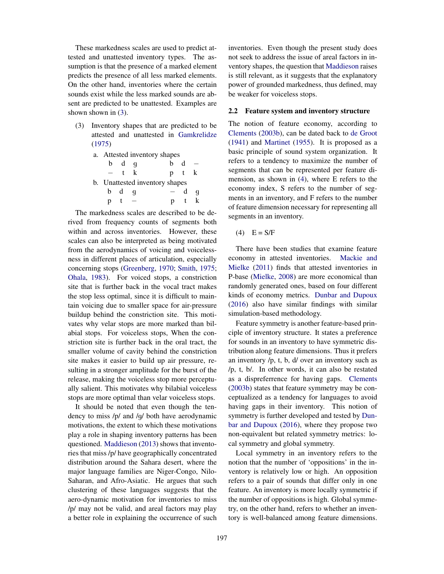These markedness scales are used to predict attested and unattested inventory types. The assumption is that the presence of a marked element predicts the presence of all less marked elements. On the other hand, inventories where the certain sounds exist while the less marked sounds are absent are predicted to be unattested. Examples are shown shown in (3).

(3) Inventory shapes that are predicted to be attested and unattested in Gamkrelidze (1975)

| a. Attested inventory shapes   |                     |     |    |              |   |
|--------------------------------|---------------------|-----|----|--------------|---|
|                                | $b$ d q             |     | h. | <sub>d</sub> |   |
|                                |                     | t k |    | p t k        |   |
| b. Unattested inventory shapes |                     |     |    |              |   |
|                                | $b \quad d \quad q$ |     |    | d.           | q |
| p t                            |                     |     |    | p t          |   |

The markedness scales are described to be derived from frequency counts of segments both within and across inventories. However, these scales can also be interpreted as being motivated from the aerodynamics of voicing and voicelessness in different places of articulation, especially concerning stops (Greenberg, 1970; Smith, 1975; Ohala, 1983). For voiced stops, a constriction site that is further back in the vocal tract makes the stop less optimal, since it is difficult to maintain voicing due to smaller space for air-pressure buildup behind the constriction site. This motivates why velar stops are more marked than bilabial stops. For voiceless stops, When the constriction site is further back in the oral tract, the smaller volume of cavity behind the constriction site makes it easier to build up air pressure, resulting in a stronger amplitude for the burst of the release, making the voiceless stop more perceptually salient. This motivates why bilabial voiceless stops are more optimal than velar voiceless stops.

It should be noted that even though the tendency to miss /p/ and /g/ both have aerodynamic motivations, the extent to which these motivations play a role in shaping inventory patterns has been questioned. Maddieson (2013) shows that inventories that miss /p/ have geographically concentrated distribution around the Sahara desert, where the major language families are Niger-Congo, Nilo-Saharan, and Afro-Asiatic. He argues that such clustering of these languages suggests that the aero-dynamic motivation for inventories to miss /p/ may not be valid, and areal factors may play a better role in explaining the occurrence of such inventories. Even though the present study does not seek to address the issue of areal factors in inventory shapes, the question that Maddieson raises is still relevant, as it suggests that the explanatory power of grounded markedness, thus defined, may be weaker for voiceless stops.

#### 2.2 Feature system and inventory structure

The notion of feature economy, according to Clements (2003b), can be dated back to de Groot (1941) and Martinet (1955). It is proposed as a basic principle of sound system organization. It refers to a tendency to maximize the number of segments that can be represented per feature dimension, as shown in (4), where E refers to the economy index, S refers to the number of segments in an inventory, and F refers to the number of feature dimension necessary for representing all segments in an inventory.

 $(4)$  E = S/F

There have been studies that examine feature economy in attested inventories. Mackie and Mielke (2011) finds that attested inventories in P-base (Mielke, 2008) are more economical than randomly generated ones, based on four different kinds of economy metrics. Dunbar and Dupoux (2016) also have similar findings with similar simulation-based methodology.

Feature symmetry is another feature-based principle of inventory structure. It states a preference for sounds in an inventory to have symmetric distribution along feature dimensions. Thus it prefers an inventory /p, t, b, d/ over an inventory such as /p, t, b/. In other words, it can also be restated as a dispreferrence for having gaps. Clements (2003b) states that feature symmetry may be conceptualized as a tendency for languages to avoid having gaps in their inventory. This notion of symmetry is further developed and tested by Dunbar and Dupoux (2016), where they propose two non-equivalent but related symmetry metrics: local symmetry and global symmetry.

Local symmetry in an inventory refers to the notion that the number of 'oppositions' in the inventory is relatively low or high. An opposition refers to a pair of sounds that differ only in one feature. An inventory is more locally symmetric if the number of oppositions is high. Global symmetry, on the other hand, refers to whether an inventory is well-balanced among feature dimensions.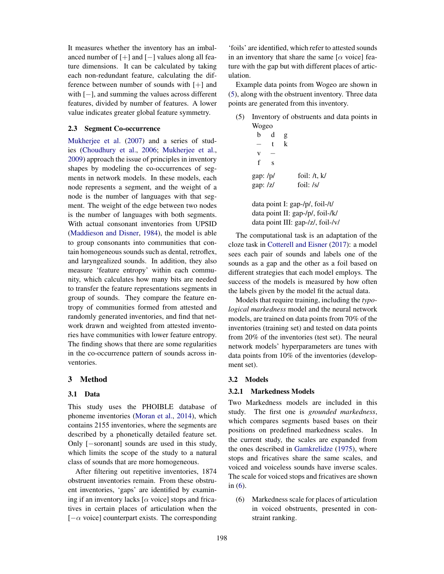It measures whether the inventory has an imbalanced number of  $[+]$  and  $[-]$  values along all feature dimensions. It can be calculated by taking each non-redundant feature, calculating the difference between number of sounds with [+] and with  $[-]$ , and summing the values across different features, divided by number of features. A lower value indicates greater global feature symmetry.

#### 2.3 Segment Co-occurrence

Mukherjee et al. (2007) and a series of studies (Choudhury et al., 2006; Mukherjee et al., 2009) approach the issue of principles in inventory shapes by modeling the co-occurrences of segments in network models. In these models, each node represents a segment, and the weight of a node is the number of languages with that segment. The weight of the edge between two nodes is the number of languages with both segments. With actual consonant inventories from UPSID (Maddieson and Disner, 1984), the model is able to group consonants into communities that contain homogeneous sounds such as dental, retroflex, and laryngealized sounds. In addition, they also measure 'feature entropy' within each community, which calculates how many bits are needed to transfer the feature representations segments in group of sounds. They compare the feature entropy of communities formed from attested and randomly generated inventories, and find that network drawn and weighted from attested inventories have communities with lower feature entropy. The finding shows that there are some regularities in the co-occurrence pattern of sounds across inventories.

### 3 Method

# 3.1 Data

This study uses the PHOIBLE database of phoneme inventories (Moran et al., 2014), which contains 2155 inventories, where the segments are described by a phonetically detailed feature set. Only  $[-\text{soronant}]$  sounds are used in this study, which limits the scope of the study to a natural class of sounds that are more homogeneous.

After filtering out repetitive inventories, 1874 obstruent inventories remain. From these obstruent inventories, 'gaps' are identified by examining if an inventory lacks  $[\alpha$  voice] stops and fricatives in certain places of articulation when the  $[-\alpha \text{ voice}]$  counterpart exists. The corresponding

'foils' are identified, which refer to attested sounds in an inventory that share the same  $[\alpha \text{ voice}]$  feature with the gap but with different places of articulation.

Example data points from Wogeo are shown in (5), along with the obstruent inventory. Three data points are generated from this inventory.

(5) Inventory of obstruents and data points in Wogeo

| b                               | d            | g            |                   |  |  |
|---------------------------------|--------------|--------------|-------------------|--|--|
|                                 | $\mathbf{t}$ | $\mathbf{k}$ |                   |  |  |
| V                               |              |              |                   |  |  |
| $\mathbf{f}$                    | S            |              |                   |  |  |
| gap:/p/                         |              |              | foil: $/t$ , $k/$ |  |  |
| gap: /z/                        |              |              | foil: $/s/$       |  |  |
|                                 |              |              |                   |  |  |
| data point I: gap-/p/, foil-/t/ |              |              |                   |  |  |

data point II: gap-/p/, foil-/k/ data point III: gap-/z/, foil-/v/

The computational task is an adaptation of the cloze task in Cotterell and Eisner (2017): a model sees each pair of sounds and labels one of the sounds as a gap and the other as a foil based on different strategies that each model employs. The success of the models is measured by how often the labels given by the model fit the actual data.

Models that require training, including the *typological markedness* model and the neural network models, are trained on data points from 70% of the inventories (training set) and tested on data points from 20% of the inventories (test set). The neural network models' hyperparameters are tunes with data points from 10% of the inventories (development set).

#### 3.2 Models

## 3.2.1 Markedness Models

Two Markedness models are included in this study. The first one is *grounded markedness*, which compares segments based bases on their positions on predefined markedness scales. In the current study, the scales are expanded from the ones described in Gamkrelidze (1975), where stops and fricatives share the same scales, and voiced and voiceless sounds have inverse scales. The scale for voiced stops and fricatives are shown in (6).

(6) Markedness scale for places of articulation in voiced obstruents, presented in constraint ranking.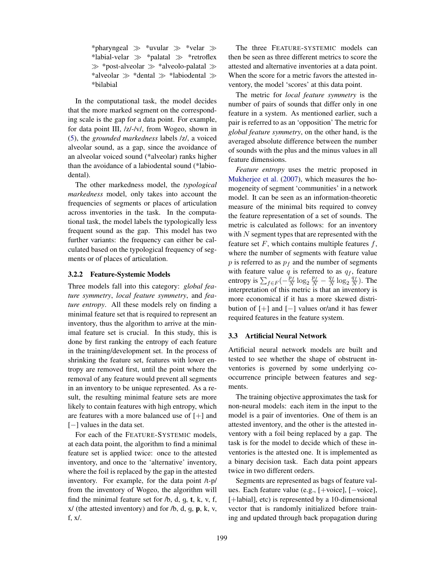\*pharyngeal  $\gg$  \*uvular  $\gg$  \*velar  $\gg$ \*labial-velar  $\gg$  \*palatal  $\gg$  \*retroflex  $\gg$  \*post-alveolar  $\gg$  \*alveolo-palatal  $\gg$ \*alveolar  $\gg$  \*dental  $\gg$  \*labiodental  $\gg$ \*bilabial

In the computational task, the model decides that the more marked segment on the corresponding scale is the gap for a data point. For example, for data point III, /z/-/v/, from Wogeo, shown in (5), the *grounded markedness* labels /z/, a voiced alveolar sound, as a gap, since the avoidance of an alveolar voiced sound (\*alveolar) ranks higher than the avoidance of a labiodental sound (\*labiodental).

The other markedness model, the *typological markedness* model, only takes into account the frequencies of segments or places of articulation across inventories in the task. In the computational task, the model labels the typologically less frequent sound as the gap. This model has two further variants: the frequency can either be calculated based on the typological frequency of segments or of places of articulation.

### 3.2.2 Feature-Systemic Models

Three models fall into this category: *global feature symmetry*, *local feature symmetry*, and *feature entropy*. All these models rely on finding a minimal feature set that is required to represent an inventory, thus the algorithm to arrive at the minimal feature set is crucial. In this study, this is done by first ranking the entropy of each feature in the training/development set. In the process of shrinking the feature set, features with lower entropy are removed first, until the point where the removal of any feature would prevent all segments in an inventory to be unique represented. As a result, the resulting minimal feature sets are more likely to contain features with high entropy, which are features with a more balanced use of [+] and  $[-]$  values in the data set.

For each of the FEATURE-SYSTEMIC models, at each data point, the algorithm to find a minimal feature set is applied twice: once to the attested inventory, and once to the 'alternative' inventory, where the foil is replaced by the gap in the attested inventory. For example, for the data point /t-p/ from the inventory of Wogeo, the algorithm will find the minimal feature set for  $/b$ , d, q, t, k, v, f,  $x/$  (the attested inventory) and for  $/b$ , d, g, p, k, v, f, x/.

The three FEATURE-SYSTEMIC models can then be seen as three different metrics to score the attested and alternative inventories at a data point. When the score for a metric favors the attested inventory, the model 'scores' at this data point.

The metric for *local feature symmetry* is the number of pairs of sounds that differ only in one feature in a system. As mentioned earlier, such a pair is referred to as an 'opposition' The metric for *global feature symmetry*, on the other hand, is the averaged absolute difference between the number of sounds with the plus and the minus values in all feature dimensions.

*Feature entropy* uses the metric proposed in Mukherjee et al. (2007), which measures the homogeneity of segment 'communities' in a network model. It can be seen as an information-theoretic measure of the minimal bits required to convey the feature representation of a set of sounds. The metric is calculated as follows: for an inventory with  $N$  segment types that are represented with the feature set  $F$ , which contains multiple features  $f$ , where the number of segments with feature value  $p$  is referred to as  $p_f$  and the number of segments with feature value  $q$  is referred to as  $q_f$ , feature entropy is  $\sum_{f \in F} \left(-\frac{p_f}{N} \log_2 \frac{p_f}{N} - \frac{q_f}{N} \log_2 \frac{q_f}{N}\right)$ . The interpretation of this metric is that an inventory is more economical if it has a more skewed distribution of  $[+]$  and  $[-]$  values or/and it has fewer required features in the feature system.

#### 3.3 Artificial Neural Network

Artificial neural network models are built and tested to see whether the shape of obstruent inventories is governed by some underlying cooccurrence principle between features and segments.

The training objective approximates the task for non-neural models: each item in the input to the model is a pair of inventories. One of them is an attested inventory, and the other is the attested inventory with a foil being replaced by a gap. The task is for the model to decide which of these inventories is the attested one. It is implemented as a binary decision task. Each data point appears twice in two different orders.

Segments are represented as bags of feature values. Each feature value (e.g.,  $[+$ voice],  $[-$ voice], [+labial], etc) is represented by a 10-dimensional vector that is randomly initialized before training and updated through back propagation during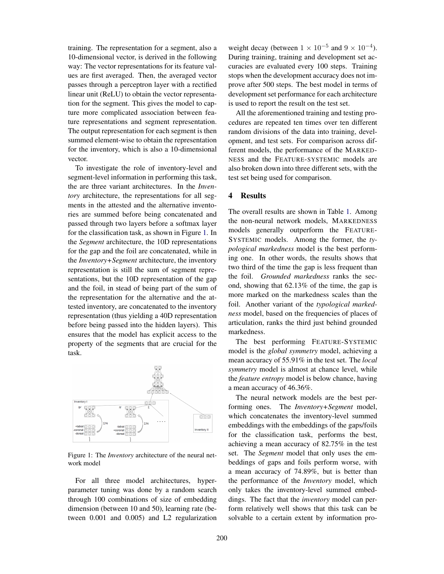training. The representation for a segment, also a 10-dimensional vector, is derived in the following way: The vector representations for its feature values are first averaged. Then, the averaged vector passes through a perceptron layer with a rectified linear unit (ReLU) to obtain the vector representation for the segment. This gives the model to capture more complicated association between feature representations and segment representation. The output representation for each segment is then summed element-wise to obtain the representation for the inventory, which is also a 10-dimensional vector.

To investigate the role of inventory-level and segment-level information in performing this task, the are three variant architectures. In the *Inventory* architecture, the representations for all segments in the attested and the alternative inventories are summed before being concatenated and passed through two layers before a softmax layer for the classification task, as shown in Figure 1. In the *Segment* architecture, the 10D representations for the gap and the foil are concatenated, while in the *Inventory+Segment* architecture, the inventory representation is still the sum of segment representations, but the 10D representation of the gap and the foil, in stead of being part of the sum of the representation for the alternative and the attested inventory, are concatenated to the inventory representation (thus yielding a 40D representation before being passed into the hidden layers). This ensures that the model has explicit access to the property of the segments that are crucial for the task.



Figure 1: The *Inventory* architecture of the neural network model

For all three model architectures, hyperparameter tuning was done by a random search through 100 combinations of size of embedding dimension (between 10 and 50), learning rate (between 0.001 and 0.005) and L2 regularization weight decay (between  $1 \times 10^{-5}$  and  $9 \times 10^{-4}$ ). During training, training and development set accuracies are evaluated every 100 steps. Training stops when the development accuracy does not improve after 500 steps. The best model in terms of development set performance for each architecture is used to report the result on the test set.

All the aforementioned training and testing procedures are repeated ten times over ten different random divisions of the data into training, development, and test sets. For comparison across different models, the performance of the MARKED-NESS and the FEATURE-SYSTEMIC models are also broken down into three different sets, with the test set being used for comparison.

# 4 Results

The overall results are shown in Table 1. Among the non-neural network models, MARKEDNESS models generally outperform the FEATURE-SYSTEMIC models. Among the former, the *typological markedness* model is the best performing one. In other words, the results shows that two third of the time the gap is less frequent than the foil. *Grounded markedness* ranks the second, showing that 62.13% of the time, the gap is more marked on the markedness scales than the foil. Another variant of the *typological markedness* model, based on the frequencies of places of articulation, ranks the third just behind grounded markedness.

The best performing FEATURE-SYSTEMIC model is the *global symmetry* model, achieving a mean accuracy of 55.91% in the test set. The *local symmetry* model is almost at chance level, while the *feature entropy* model is below chance, having a mean accuracy of 46.36%.

The neural network models are the best performing ones. The *Inventory+Segment* model, which concatenates the inventory-level summed embeddings with the embeddings of the gaps/foils for the classification task, performs the best, achieving a mean accuracy of 82.75% in the test set. The *Segment* model that only uses the embeddings of gaps and foils perform worse, with a mean accuracy of 74.89%, but is better than the performance of the *Inventory* model, which only takes the inventory-level summed embeddings. The fact that the *inventory* model can perform relatively well shows that this task can be solvable to a certain extent by information pro-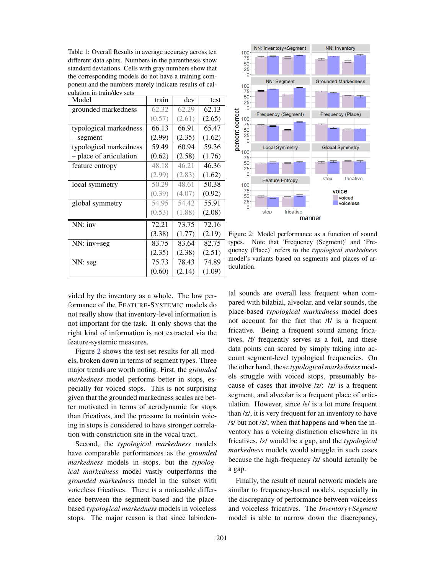Table 1: Overall Results in average accuracy across ten different data splits. Numbers in the parentheses show standard deviations. Cells with gray numbers show that the corresponding models do not have a training component and the numbers merely indicate results of calculation in train/dev sets

| Model                   | train  | dev    | test   |
|-------------------------|--------|--------|--------|
| grounded markedness     | 62.32  | 62.29  | 62.13  |
|                         | (0.57) | (2.61) | (2.65) |
| typological markedness  | 66.13  | 66.91  | 65.47  |
| - segment               | (2.99) | (2.35) | (1.62) |
| typological markedness  | 59.49  | 60.94  | 59.36  |
| - place of articulation | (0.62) | (2.58) | (1.76) |
| feature entropy         | 48.18  | 46.21  | 46.36  |
|                         | (2.99) | (2.83) | (1.62) |
| local symmetry          | 50.29  | 48.61  | 50.38  |
|                         | (0.39) | (4.07) | (0.92) |
| global symmetry         | 54.95  | 54.42  | 55.91  |
|                         | (0.53) | (1.88) | (2.08) |
| NN: inv                 | 72.21  | 73.75  | 72.16  |
|                         | (3.38) | (1.77) | (2.19) |
| NN: inv+seg             | 83.75  | 83.64  | 82.75  |
|                         | (2.35) | (2.38) | (2.51) |
| NN: seg                 | 75.73  | 78.43  | 74.89  |
|                         | (0.60) | (2.14) | (1.09) |



Figure 2: Model performance as a function of sound types. Note that 'Frequency (Segment)' and 'Frequency (Place)' refers to the *typological markedness* model's variants based on segments and places of articulation.

vided by the inventory as a whole. The low performance of the FEATURE-SYSTEMIC models do not really show that inventory-level information is not important for the task. It only shows that the right kind of information is not extracted via the feature-systemic measures.

Figure 2 shows the test-set results for all models, broken down in terms of segment types. Three major trends are worth noting. First, the *grounded markedness* model performs better in stops, especially for voiced stops. This is not surprising given that the grounded markedness scales are better motivated in terms of aerodynamic for stops than fricatives, and the pressure to maintain voicing in stops is considered to have stronger correlation with constriction site in the vocal tract.

Second, the *typological markedness* models have comparable performances as the *grounded markedness* models in stops, but the *typological markedness* model vastly outperforms the *grounded markedness* model in the subset with voiceless fricatives. There is a noticeable difference between the segment-based and the placebased *typological markedness* models in voiceless stops. The major reason is that since labiodental sounds are overall less frequent when compared with bilabial, alveolar, and velar sounds, the place-based *typological markedness* model does not account for the fact that /f/ is a frequent fricative. Being a frequent sound among fricatives, /f/ frequently serves as a foil, and these data points can scored by simply taking into account segment-level typological frequencies. On the other hand, these *typological markedness* models struggle with voiced stops, presumably because of cases that involve /z/: /z/ is a frequent segment, and alveolar is a frequent place of articulation. However, since /s/ is a lot more frequent than /z/, it is very frequent for an inventory to have /s/ but not /z/; when that happens and when the inventory has a voicing distinction elsewhere in its fricatives, /z/ would be a gap, and the *typological markedness* models would struggle in such cases because the high-frequency /z/ should actually be a gap.

Finally, the result of neural network models are similar to frequency-based models, especially in the discrepancy of performance between voiceless and voiceless fricatives. The *Inventory+Segment* model is able to narrow down the discrepancy,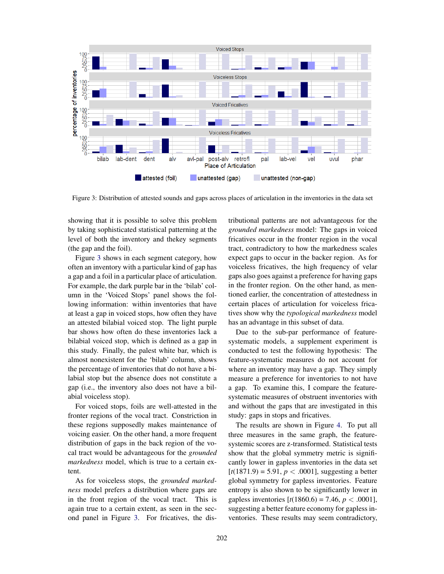

Figure 3: Distribution of attested sounds and gaps across places of articulation in the inventories in the data set

showing that it is possible to solve this problem by taking sophisticated statistical patterning at the level of both the inventory and thekey segments (the gap and the foil).

Figure 3 shows in each segment category, how often an inventory with a particular kind of gap has a gap and a foil in a particular place of articulation. For example, the dark purple bar in the 'bilab' column in the 'Voiced Stops' panel shows the following information: within inventories that have at least a gap in voiced stops, how often they have an attested bilabial voiced stop. The light purple bar shows how often do these inventories lack a bilabial voiced stop, which is defined as a gap in this study. Finally, the palest white bar, which is almost nonexistent for the 'bilab' column, shows the percentage of inventories that do not have a bilabial stop but the absence does not constitute a gap (i.e., the inventory also does not have a bilabial voiceless stop).

For voiced stops, foils are well-attested in the fronter regions of the vocal tract. Constriction in these regions supposedly makes maintenance of voicing easier. On the other hand, a more frequent distribution of gaps in the back region of the vocal tract would be advantageous for the *grounded markedness* model, which is true to a certain extent.

As for voiceless stops, the *grounded markedness* model prefers a distribution where gaps are in the front region of the vocal tract. This is again true to a certain extent, as seen in the second panel in Figure 3. For fricatives, the distributional patterns are not advantageous for the *grounded markedness* model: The gaps in voiced fricatives occur in the fronter region in the vocal tract, contradictory to how the markedness scales expect gaps to occur in the backer region. As for voiceless fricatives, the high frequency of velar gaps also goes against a preference for having gaps in the fronter region. On the other hand, as mentioned earlier, the concentration of attestedness in certain places of articulation for voiceless fricatives show why the *typological markedness* model has an advantage in this subset of data.

Due to the sub-par performance of featuresystematic models, a supplement experiment is conducted to test the following hypothesis: The feature-systematic measures do not account for where an inventory may have a gap. They simply measure a preference for inventories to not have a gap. To examine this, I compare the featuresystematic measures of obstruent inventories with and without the gaps that are investigated in this study: gaps in stops and fricatives.

The results are shown in Figure 4. To put all three measures in the same graph, the featuresystemic scores are z-transformed. Statistical tests show that the global symmetry metric is significantly lower in gapless inventories in the data set  $[t(1871.9) = 5.91, p < .0001]$ , suggesting a better global symmetry for gapless inventories. Feature entropy is also shown to be significantly lower in gapless inventories  $[t(1860.6) = 7.46, p < .0001]$ , suggesting a better feature economy for gapless inventories. These results may seem contradictory,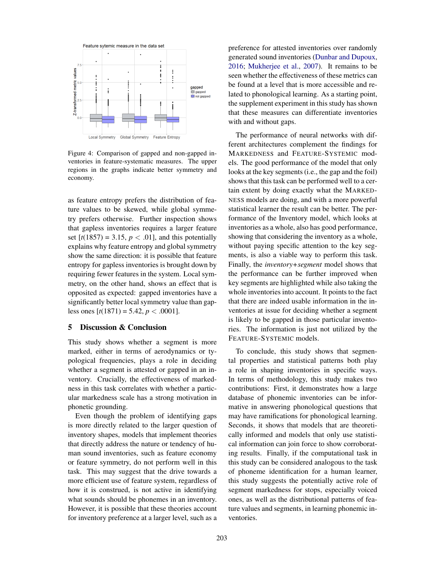

Figure 4: Comparison of gapped and non-gapped inventories in feature-systematic measures. The upper regions in the graphs indicate better symmetry and economy.

as feature entropy prefers the distribution of feature values to be skewed, while global symmetry prefers otherwise. Further inspection shows that gapless inventories requires a larger feature set  $[t(1857) = 3.15, p < .01]$ , and this potentially explains why feature entropy and global symmetry show the same direction: it is possible that feature entropy for gapless inventories is brought down by requiring fewer features in the system. Local symmetry, on the other hand, shows an effect that is opposited as expected: gapped inventories have a significantly better local symmetry value than gapless ones  $[t(1871) = 5.42, p < .0001]$ .

### 5 Discussion & Conclusion

This study shows whether a segment is more marked, either in terms of aerodynamics or typological frequencies, plays a role in deciding whether a segment is attested or gapped in an inventory. Crucially, the effectiveness of markedness in this task correlates with whether a particular markedness scale has a strong motivation in phonetic grounding.

Even though the problem of identifying gaps is more directly related to the larger question of inventory shapes, models that implement theories that directly address the nature or tendency of human sound inventories, such as feature economy or feature symmetry, do not perform well in this task. This may suggest that the drive towards a more efficient use of feature system, regardless of how it is construed, is not active in identifying what sounds should be phonemes in an inventory. However, it is possible that these theories account for inventory preference at a larger level, such as a preference for attested inventories over randomly generated sound inventories (Dunbar and Dupoux, 2016; Mukherjee et al., 2007). It remains to be seen whether the effectiveness of these metrics can be found at a level that is more accessible and related to phonological learning. As a starting point, the supplement experiment in this study has shown that these measures can differentiate inventories with and without gaps.

The performance of neural networks with different architectures complement the findings for MARKEDNESS and FEATURE-SYSTEMIC models. The good performance of the model that only looks at the key segments (i.e., the gap and the foil) shows that this task can be performed well to a certain extent by doing exactly what the MARKED-NESS models are doing, and with a more powerful statistical learner the result can be better. The performance of the Inventory model, which looks at inventories as a whole, also has good performance, showing that considering the inventory as a whole, without paying specific attention to the key segments, is also a viable way to perform this task. Finally, the *inventory+segment* model shows that the performance can be further improved when key segments are highlighted while also taking the whole inventories into account. It points to the fact that there are indeed usable information in the inventories at issue for deciding whether a segment is likely to be gapped in those particular inventories. The information is just not utilized by the FEATURE-SYSTEMIC models.

To conclude, this study shows that segmental properties and statistical patterns both play a role in shaping inventories in specific ways. In terms of methodology, this study makes two contributions: First, it demonstrates how a large database of phonemic inventories can be informative in answering phonological questions that may have ramifications for phonological learning. Seconds, it shows that models that are theoretically informed and models that only use statistical information can join force to show corroborating results. Finally, if the computational task in this study can be considered analogous to the task of phoneme identification for a human learner, this study suggests the potentially active role of segment markedness for stops, especially voiced ones, as well as the distributional patterns of feature values and segments, in learning phonemic inventories.